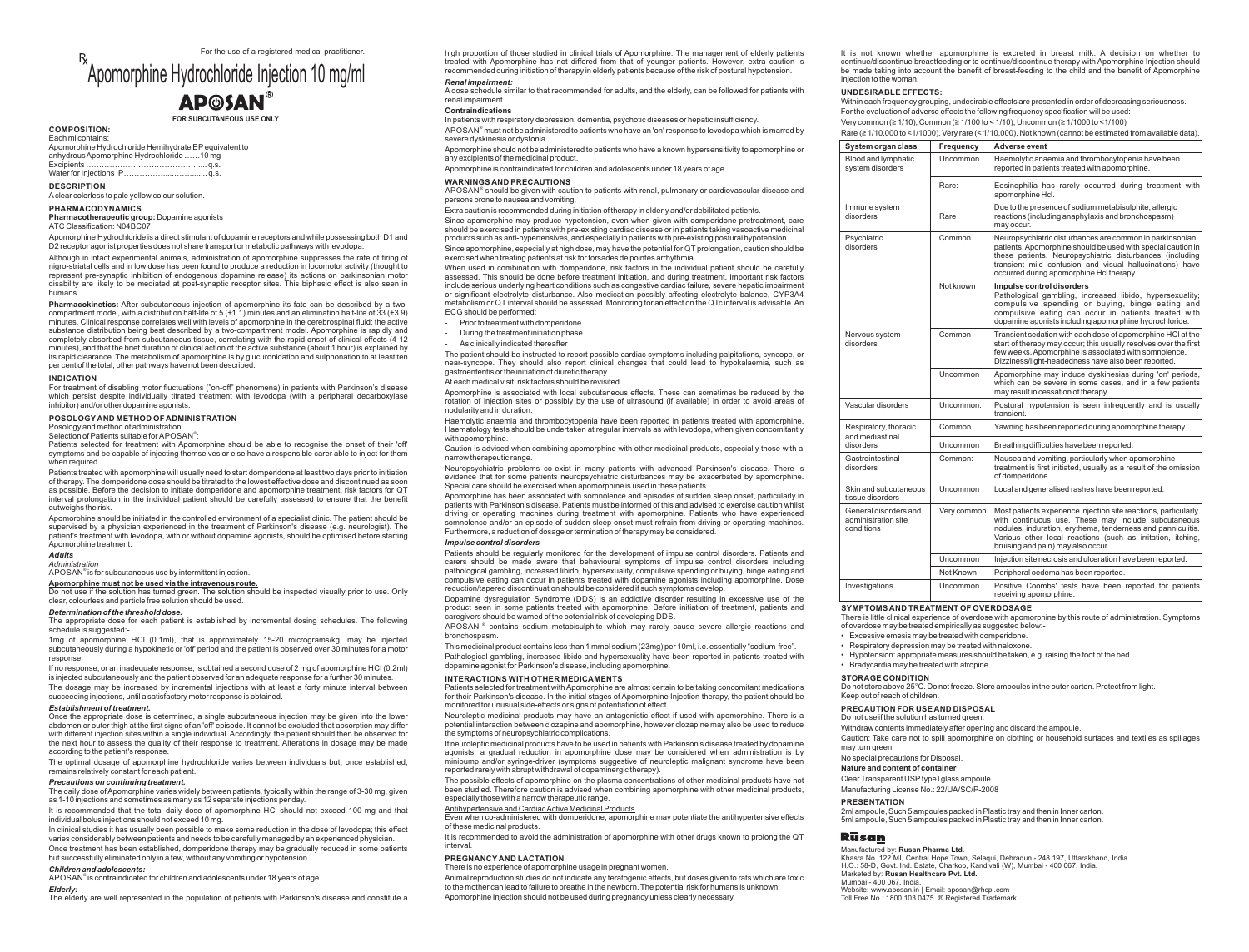For the use of a registered medical practitioner.

# Apomorphine Hydrochloride Injection 10 mg/ml  $\mathbf{A}\mathbf{P}\odot\mathbf{S}\mathbf{A}\mathbf{N}^{\circ}$

#### **FOR SUBCUTANEOUS USE ONLY**

#### Each ml contains: **COMPOSITION:**

anhydrous Apomorphine Hydrochloride ……10 mg Excipients ……………………………………..... q.s. Water for Injections IP………………………….. q.s Apomorphine Hydrochloride Hemihydrate EPequivalent to

Aclear colorless to pale yellow colour solution. **DESCRIPTION**

#### **PHARMACODYNAMICS**

**Pharmacotherapeutic group:** Dopamine agonists ATC Classification: N04BC07

Apomorphine Hydrochloride is a direct stimulant of dopamine receptors and while possessing both D1 and D2 receptor agonist properties does not share transport or metabolic pathways with levodopa.

Although in intact experimental animals, administration of apomorphine suppresses the rate of firing of nigro-striatal cells and in low dose has been found to produce a reduction in locomotor activity (thought to represent pre-synaptic inhibition of endogenous dopamine release) its actions on parkinsonian motor disability are likely to be mediated at post-synaptic receptor sites. This biphasic effect is also seen in humans.

**Pharmacokinetics:** After subcutaneous injection of apomorphine its fate can be described by a twocompartment model, with a distribution half-life of 5 (±1.1) minutes and an elimination half-life of 33 (±3.9) minutes. Clinical response correlates well with levels of apomorphine in the cerebrospinal fluid; the active substance distribution being best described by a two-compartment model. Apomorphine is rapidly and completely absorbed from subcutaneous tissue, correlating with the rapid onset of clinical effects (4-12 minutes), and that the brief duration of clinical action of the active substance (about 1 hour) is explained by its rapid clearance. The metabolism of apomorphine is by glucuronidation and sulphonation to at least ten per cent of the total; other pathways have not been described.

#### **INDICATION**

For treatment of disabling motor fluctuations ("on-off" phenomena) in patients with Parkinson's disease which persist despite individually titrated treatment with levodopa (with a peripheral decarboxylase inhibitor) and/or other dopamine agonists.

#### **POSOLOGY AND METHOD OF ADMINISTRATION**

Posology and method of administration

Selection of Patients suitable for APOSAN<sup>®</sup>

Patients selected for treatment with Apomorphine should be able to recognise the onset of their 'off' symptoms and be capable of injecting themselves or else have a responsible carer able to inject for them when required.

Patients treated with apomorphine will usually need to start domperidone at least two days prior to initiation of therapy. The domperidone dose should be titrated to the lowest effective dose and discontinued as soon as possible. Before the decision to initiate domperidone and apomorphine treatment, risk factors for QT interval prolongation in the individual patient should be carefully assessed to ensure that the benefit outweighs the risk.

Apomorphine should be initiated in the controlled environment of a specialist clinic. The patient should be supervised by a physician experienced in the treatment of Parkinson's disease (e.g. neurologist). The patient's treatment with levodopa, with or without dopamine agonists, should be optimised before starting Apomorphine treatment.

#### *Adults Administration*

APOSAN<sup>®</sup> is for subcutaneous use by intermittent injection.

#### **Apomorphine must not be used via the intravenous route.**

Do not use if the solution has turned green. The solution should be inspected visually prior to use. Only clear, colourless and particle free solution should be used.

#### *Determination of the threshold dose.*

The appropriate dose for each patient is established by incremental dosing schedules. The following schedule is suggested:-

1mg of apomorphine HCl (0.1ml), that is approximately 15-20 micrograms/kg, may be injected subcutaneously during a hypokinetic or 'off' period and the patient is observed over 30 minutes for a motor response.

If no response, or an inadequate response, is obtained a second dose of 2 mg of apomorphine HCl (0.2ml) is injected subcutaneously and the patient observed for an adequate response for a further 30 minutes.

The dosage may be increased by incremental injections with at least a forty minute interval between succeeding injections, until a satisfactory motor response is obtained.

#### *Establishment of treatment.*

Once the appropriate dose is determined, a single subcutaneous injection may be given into the lower abdomen or outer thigh at the first signs of an 'off' episode. It cannot be excluded that absorption may differ with different injection sites within a single individual. Accordingly, the patient should then be observed for the next hour to assess the quality of their response to treatment. Alterations in dosage may be made according to the patient's response.

The optimal dosage of apomorphine hydrochloride varies between individuals but, once established, remains relatively constant for each patient.

#### *Precautions on continuing treatment.*

The daily dose of Apomorphine varies widely between patients, typically within the range of 3-30 mg, given<br>as 1-10 injections and sometimes as many as 12 separate injections per day.

It is recommended that the total daily dose of apomorphine HCl should not exceed 100 mg and that individual bolus injections should not exceed 10 mg.

In clinical studies it has usually been possible to make some reduction in the dose of levodopa; this effect varies considerably between patients and needs to be carefully managed by an experienced physician. Once treatment has been established, domperidone therapy may be gradually reduced in some patients

#### but successfully eliminated only in a few, without any vomiting or hypotension.

*Children and adolescents:*

APOSAN<sup>®</sup> is contraindicated for children and adolescents under 18 years of age.

#### *Elderly:*

The elderly are well represented in the population of patients with Parkinson's disease and constitute a

high proportion of those studied in clinical trials of Apomorphine. The management of elderly patients treated with Apomorphine has not differed from that of younger patients. However, extra caution is recommended during initiation of therapy in elderly patients because of the risk of postural hypotension. *Renal impairment:*

#### A dose schedule similar to that recommended for adults, and the elderly, can be followed for patients with renal impairment.

#### **Contraindications**

In patients with respiratory depression, dementia, psychotic diseases or hepatic insufficiency.

APOSAN<sup>®</sup> must not be administered to patients who have an 'on' response to levodopa which is marred by severe dyskinesia or dystonia.

#### Apomorphine should not be administered to patients who have a known hypersensitivity to apomorphine or

any excipients of the medicinal product.

Apomorphine is contraindicated for children and adolescents under 18 years of age.

#### **WARNINGS AND PRECAUTIONS**

**APOSAN**<sup>®</sup> should be given with caution to patients with renal, pulmonary or cardiovascular disease and persons prone to nausea and vomiting.

Extra caution is recommended during initiation of therapy in elderly and/or debilitated patients.

Since apomorphine, especially at high dose, may have the potential for QT prolongation, caution should be exercised when treating patients at risk for torsades de pointes arrhythmia. Since apomorphine may produce hypotension, even when given with domperidone pretreatment, care should be exercised in patients with pre-existing cardiac disease or in patients taking vasoactive medicinal products such as anti-hypertensives, and especially in patients with pre-existing postural hypotension.

When used in combination with domperidone, risk factors in the individual patient should be carefully assessed. This should be done before treatment initiation, and during treatment. Important risk factors include serious underlying heart conditions such as congestive cardiac failure, severe hepatic impairment or significant electrolyte disturbance. Also medication possibly affecting electrolyte balance, CYP3A4 metabolism or QT interval should be assessed. Monitoring for an effect on the QTc interval is advisable. An ECG should be performed:

- Prior to treatment with domperidone
- During the treatment initiation phase
- As clinically indicated thereafter

The patient should be instructed to report possible cardiac symptoms including palpitations, syncope, or near-syncope. They should also report clinical changes that could lead to hypokalaemia, such as gastroenteritis or the initiation of diuretic therapy.

#### At each medical visit, risk factors should be revisited.

Apomorphine is associated with local subcutaneous effects. These can sometimes be reduced by the rotation of injection sites or possibly by the use of ultrasound (if available) in order to avoid areas of nodularity and in duration.

Haemolytic anaemia and thrombocytopenia have been reported in patients treated with apomorphine. Haematology tests should be undertaken at regular intervals as with levodopa, when given concomitantly with anomorphine.

Caution is advised when combining apomorphine with other medicinal products, especially those with a narrow therapeutic range.

Neuropsychiatric problems co-exist in many patients with advanced Parkinson's disease. There is evidence that for some patients neuropsychiatric disturbances may be exacerbated by apomorphine. Special care should be exercised when apomorphine is used in these patients.

Apomorphine has been associated with somnolence and episodes of sudden sleep onset, particularly in patients with Parkinson's disease. Patients must be informed of this and advised to exercise caution whilst driving or operating machines during treatment with apomorphine. Patients who have experienced somnolence and/or an episode of sudden sleep onset must refrain from driving or operating machines. Furthermore, a reduction of dosage or termination of therapy may be considered.

#### *Impulse control disorders*

Patients should be regularly monitored for the development of impulse control disorders. Patients and carers should be made aware that behavioural symptoms of impulse control disorders including pathological gambling, increased libido, hypersexuality, compulsive spending or buying, binge eating and compulsive eating can occur in patients treated with dopamine agonists including apomorphine. Dose reduction/tapered discontinuation should be considered if such symptoms develop.

Dopamine dysregulation Syndrome (DDS) is an addictive disorder resulting in excessive use of the product seen in some patients treated with apomorphine. Before initiation of treatment, patients and caregivers should be warned of the potential risk of developing DDS.

APOSAN ® contains sodium metabisulphite which may rarely cause severe allergic reactions and bronchospasm.

Pathological gambling, increased libido and hypersexuality have been reported in patients treated with dopamine agonist for Parkinson's disease, including apomorphine. This medicinal product contains less than 1 mmol sodium (23mg) per 10ml, i.e. essentially "sodium-free".

#### **INTERACTIONS WITH OTHER MEDICAMENTS**

Patients selected for treatment with Apomorphine are almost certain to be taking concomitant medications for their Parkinson's disease. In the initial stages of Apomorphine Injection therapy, the patient should be monitored for unusual side-effects or signs of potentiation of effect.

Neuroleptic medicinal products may have an antagonistic effect if used with apomorphine. There is a potential interaction between clozapine and apomorphine, however clozapine may also be used to reduce the symptoms of neuropsychiatric complications.

If neuroleptic medicinal products have to be used in patients with Parkinson's disease treated by dopamine agonists, a gradual reduction in apomorphine dose may be considered when administration is by minipump and/or syringe-driver (symptoms suggestive of neuroleptic malignant syndrome have been reported rarely with abrupt withdrawal of dopaminergic therapy).

The possible effects of apomorphine on the plasma concentrations of other medicinal products have not been studied. Therefore caution is advised when combining apomorphine with other medicinal products, especially those with a narrow therapeutic range.

#### Antihypertensive and Cardiac Active Medicinal Products

Even when co-administered with domperidone, apomorphine may potentiate the antihypertensive effects of these medicinal products.

It is recommended to avoid the administration of apomorphine with other drugs known to prolong the QT interval.

#### **PREGNANCY AND LACTATION**

There is no experience of apomorphine usage in pregnant women.

Animal reproduction studies do not indicate any teratogenic effects, but doses given to rats which are toxic to the mother can lead to failure to breathe in the newborn. The potential risk for humans is unknown. Apomorphine Injection should not be used during pregnancy unless clearly necessary.

It is not known whether apomorphine is excreted in breast milk. A decision on whether to continue/discontinue breastfeeding or to continue/discontinue therapy with Apomorphine Injection should be made taking into account the benefit of breast-feeding to the child and the benefit of Apomorphine Injection to the woman.

#### **UNDESIRABLE EFFECTS:**

Within each frequency grouping, undesirable effects are presented in order of decreasing seriousness. For the evaluation of adverse effects the following frequency specification will be used:

Rare (≥ 1/10,000 to <1/1000), Very rare (< 1/10,000), Not known (cannot be estimated from available data). Very common (≥ 1/10), Common (≥ 1/100 to < 1/10), Uncommon (≥ 1/1000 to <1/100)

| System organ class                                         | Frequency   | Adverse event                                                                                                                                                                                                                                                                                |
|------------------------------------------------------------|-------------|----------------------------------------------------------------------------------------------------------------------------------------------------------------------------------------------------------------------------------------------------------------------------------------------|
| Blood and lymphatic<br>system disorders                    | Uncommon    | Haemolytic anaemia and thrombocytopenia have been<br>reported in patients treated with apomorphine.                                                                                                                                                                                          |
|                                                            | Rare:       | Eosinophilia has rarely occurred during treatment with<br>apomorphine Hcl.                                                                                                                                                                                                                   |
| Immune system<br>disorders                                 | Rare        | Due to the presence of sodium metabisulphite, allergic<br>reactions (including anaphylaxis and bronchospasm)<br>may occur.                                                                                                                                                                   |
| Psychiatric<br>disorders                                   | Common      | Neuropsychiatric disturbances are common in parkinsonian<br>patients. Apomorphine should be used with special caution in<br>these patients. Neuropsychiatric disturbances (including<br>transient mild confusion and visual hallucinations) have<br>occurred during apomorphine Hcl therapy. |
| Nervous system<br>disorders                                | Not known   | Impulse control disorders<br>Pathological gambling, increased libido, hypersexuality;<br>compulsive spending or buying, binge eating and<br>compulsive eating can occur in patients treated with<br>dopamine agonists including apomorphine hydrochloride.                                   |
|                                                            | Common      | Transient sedation with each dose of apomorphine HCI at the<br>start of therapy may occur; this usually resolves over the first<br>few weeks. Apomorphine is associated with somnolence.<br>Dizziness/light-headedness have also been reported.                                              |
|                                                            | Uncommon    | Apomorphine may induce dyskinesias during 'on' periods,<br>which can be severe in some cases, and in a few patients<br>may result in cessation of therapy.                                                                                                                                   |
| Vascular disorders                                         | Uncommon:   | Postural hypotension is seen infrequently and is usually<br>transient.                                                                                                                                                                                                                       |
| Respiratory, thoracic<br>and mediastinal<br>disorders      | Common      | Yawning has been reported during apomorphine therapy.                                                                                                                                                                                                                                        |
|                                                            | Uncommon    | Breathing difficulties have been reported.                                                                                                                                                                                                                                                   |
| Gastrointestinal<br>disorders                              | Common:     | Nausea and vomiting, particularly when apomorphine<br>treatment is first initiated, usually as a result of the omission<br>of domperidone.                                                                                                                                                   |
| Skin and subcutaneous<br>tissue disorders                  | Uncommon    | Local and generalised rashes have been reported.                                                                                                                                                                                                                                             |
| General disorders and<br>administration site<br>conditions | Very common | Most patients experience injection site reactions, particularly<br>with continuous use. These may include subcutaneous<br>nodules, induration, erythema, tenderness and panniculitis.<br>Various other local reactions (such as irritation, itching,<br>bruising and pain) may also occur.   |
|                                                            | Uncommon    | Injection site necrosis and ulceration have been reported.                                                                                                                                                                                                                                   |
|                                                            | Not Known   | Peripheral oedema has been reported.                                                                                                                                                                                                                                                         |
| Investigations                                             | Uncommon    | Positive Coombs' tests have been reported for patients<br>receiving apomorphine.                                                                                                                                                                                                             |

#### **SYMPTOMS AND TREATMENT OF OVERDOSAGE**

There is little clinical experience of overdose with apomorphine by this route of administration. Symptoms of overdose may be treated empirically as suggested below:-

- Excessive emesis may be treated with domperidone.
- Respiratory depression may be treated with naloxone.
- Hypotension: appropriate measures should be taken, e.g. raising the foot of the bed.
- Bradycardia may be treated with atropine.

#### **STORAGE CONDITION**

Keep out of reach of children. Do not store above 25°C. Do not freeze. Store ampoules in the outer carton. Protect from light.

#### **PRECAUTION FOR USE AND DISPOSAL**

Do not use if the solution has turned green.

Withdraw contents immediately after opening and discard the ampoule.

2ml ampoule, Such 5 ampoules packed in Plastic tray and then in Inner carton. 5ml ampoule, Such 5 ampoules packed in Plastic tray and then in Inner carton.

Khasra No. 122 MI, Central Hope Town, Selaqui, Dehradun - 248 197, Uttarakhand, India. H.O.: 58-D, Govt. Ind. Estate, Charkop, Kandivali (W), Mumbai - 400 067, India.

Caution: Take care not to spill apomorphine on clothing or household surfaces and textiles as spillages may turn green.

#### No special precautions for Disposal.

Manufactured by: **Rusan Pharma Ltd.**

Marketed by: **Rusan Healthcare Pvt. Ltd.**

Website: www.aposan.in | Email: aposan@rhcpl.com Toll Free No.: 1800 103 0475 ® Registered Trademark

**Nature and content of container** 

**PRESENTATION**

Rūsan

Mumbai - 400 067, India.

Clear Transparent USPtype l glass ampoule. Manufacturing License No.: 22/UA/SC/P-2008